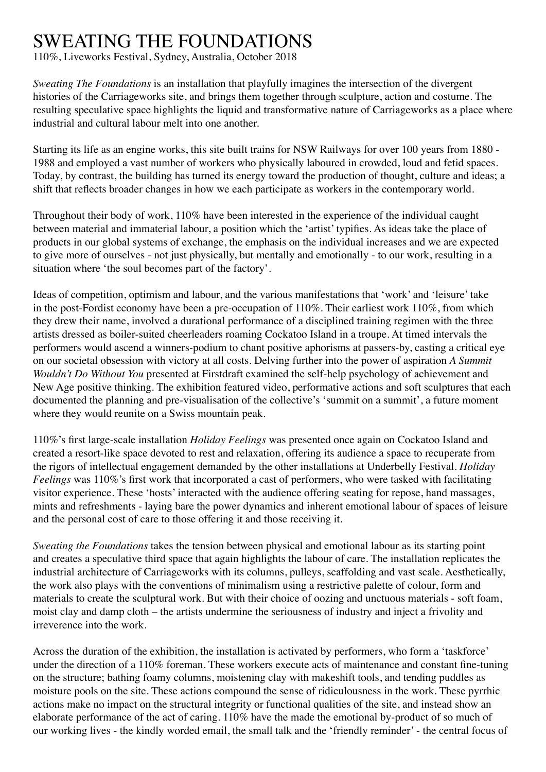## SWEATING THE FOUNDATIONS

110%, Liveworks Festival, Sydney, Australia, October 2018

*Sweating The Foundations* is an installation that playfully imagines the intersection of the divergent histories of the Carriageworks site, and brings them together through sculpture, action and costume. The resulting speculative space highlights the liquid and transformative nature of Carriageworks as a place where industrial and cultural labour melt into one another.

Starting its life as an engine works, this site built trains for NSW Railways for over 100 years from 1880 - 1988 and employed a vast number of workers who physically laboured in crowded, loud and fetid spaces. Today, by contrast, the building has turned its energy toward the production of thought, culture and ideas; a shift that reflects broader changes in how we each participate as workers in the contemporary world.

Throughout their body of work, 110% have been interested in the experience of the individual caught between material and immaterial labour, a position which the 'artist' typifies. As ideas take the place of products in our global systems of exchange, the emphasis on the individual increases and we are expected to give more of ourselves - not just physically, but mentally and emotionally - to our work, resulting in a situation where 'the soul becomes part of the factory'.

Ideas of competition, optimism and labour, and the various manifestations that 'work' and 'leisure' take in the post-Fordist economy have been a pre-occupation of 110%. Their earliest work 110%, from which they drew their name, involved a durational performance of a disciplined training regimen with the three artists dressed as boiler-suited cheerleaders roaming Cockatoo Island in a troupe. At timed intervals the performers would ascend a winners-podium to chant positive aphorisms at passers-by, casting a critical eye on our societal obsession with victory at all costs. Delving further into the power of aspiration *A Summit Wouldn't Do Without You* presented at Firstdraft examined the self-help psychology of achievement and New Age positive thinking. The exhibition featured video, performative actions and soft sculptures that each documented the planning and pre-visualisation of the collective's 'summit on a summit', a future moment where they would reunite on a Swiss mountain peak.

110%'s first large-scale installation *Holiday Feelings* was presented once again on Cockatoo Island and created a resort-like space devoted to rest and relaxation, offering its audience a space to recuperate from the rigors of intellectual engagement demanded by the other installations at Underbelly Festival. *Holiday Feelings* was 110%'s first work that incorporated a cast of performers, who were tasked with facilitating visitor experience. These 'hosts' interacted with the audience offering seating for repose, hand massages, mints and refreshments - laying bare the power dynamics and inherent emotional labour of spaces of leisure and the personal cost of care to those offering it and those receiving it.

*Sweating the Foundations* takes the tension between physical and emotional labour as its starting point and creates a speculative third space that again highlights the labour of care. The installation replicates the industrial architecture of Carriageworks with its columns, pulleys, scaffolding and vast scale. Aesthetically, the work also plays with the conventions of minimalism using a restrictive palette of colour, form and materials to create the sculptural work. But with their choice of oozing and unctuous materials - soft foam, moist clay and damp cloth – the artists undermine the seriousness of industry and inject a frivolity and irreverence into the work.

Across the duration of the exhibition, the installation is activated by performers, who form a 'taskforce' under the direction of a 110% foreman. These workers execute acts of maintenance and constant fine-tuning on the structure; bathing foamy columns, moistening clay with makeshift tools, and tending puddles as moisture pools on the site. These actions compound the sense of ridiculousness in the work. These pyrrhic actions make no impact on the structural integrity or functional qualities of the site, and instead show an elaborate performance of the act of caring. 110% have the made the emotional by-product of so much of our working lives - the kindly worded email, the small talk and the 'friendly reminder' - the central focus of